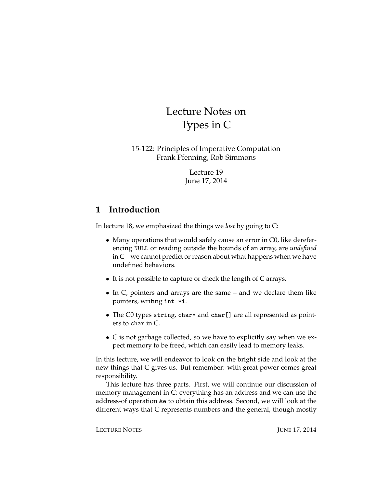# Lecture Notes on Types in C

15-122: Principles of Imperative Computation Frank Pfenning, Rob Simmons

> Lecture 19 June 17, 2014

## **1 Introduction**

In lecture 18, we emphasized the things we *lost* by going to C:

- Many operations that would safely cause an error in C0, like dereferencing NULL or reading outside the bounds of an array, are *undefined* in C – we cannot predict or reason about what happens when we have undefined behaviors.
- It is not possible to capture or check the length of C arrays.
- In C, pointers and arrays are the same and we declare them like pointers, writing int \*i.
- The C0 types string, char\* and char [] are all represented as pointers to char in C.
- C is not garbage collected, so we have to explicitly say when we expect memory to be freed, which can easily lead to memory leaks.

In this lecture, we will endeavor to look on the bright side and look at the new things that C gives us. But remember: with great power comes great responsibility.

This lecture has three parts. First, we will continue our discussion of memory management in C: everything has an address and we can use the address-of operation &e to obtain this address. Second, we will look at the different ways that C represents numbers and the general, though mostly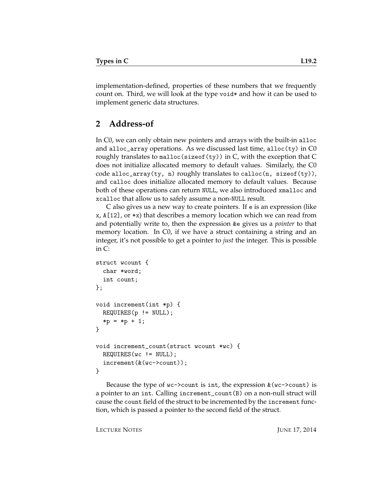implementation-defined, properties of these numbers that we frequently count on. Third, we will look at the type void\* and how it can be used to implement generic data structures.

# **2 Address-of**

In C0, we can only obtain new pointers and arrays with the built-in alloc and alloc\_array operations. As we discussed last time, alloc(ty) in C0 roughly translates to malloc(sizeof(ty)) in C, with the exception that C does not initialize allocated memory to default values. Similarly, the C0 code alloc\_array(ty, n) roughly translates to calloc(n, sizeof(ty)), and calloc does initialize allocated memory to default values. Because both of these operations can return NULL, we also introduced xmalloc and xcalloc that allow us to safely assume a non-NULL result.

C also gives us a new way to create pointers. If e is an expression (like x, A[12], or \*x) that describes a memory location which we can read from and potentially write to, then the expression &e gives us a *pointer* to that memory location. In C0, if we have a struct containing a string and an integer, it's not possible to get a pointer to *just* the integer. This is possible in C:

```
struct wcount {
  char *word;
  int count;
};
void increment(int *p) {
 REQUIRES(p != NULL);*p =*p + 1;}
void increment_count(struct wcount *wc) {
 REQUIRES(wc != NULL);
  increment(&(wc->count));
}
```
Because the type of  $wc$ ->count is int, the expression  $\&$  ( $wc$ ->count) is a pointer to an int. Calling increment\_count(B) on a non-null struct will cause the count field of the struct to be incremented by the increment function, which is passed a pointer to the second field of the struct.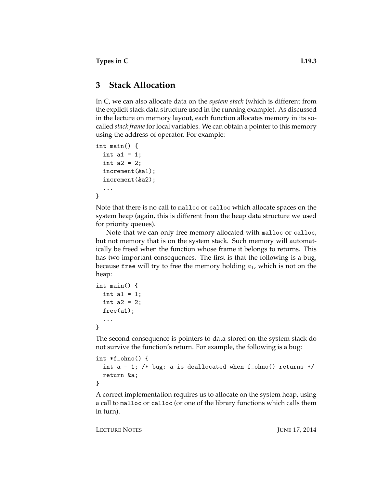## **3 Stack Allocation**

In C, we can also allocate data on the *system stack* (which is different from the explicit stack data structure used in the running example). As discussed in the lecture on memory layout, each function allocates memory in its socalled *stack frame* for local variables. We can obtain a pointer to this memory using the address-of operator. For example:

```
int main() {
  int a1 = 1:
  int a2 = 2;
  increment(&a1);
  increment(&a2);
  ...
}
```
Note that there is no call to malloc or calloc which allocate spaces on the system heap (again, this is different from the heap data structure we used for priority queues).

Note that we can only free memory allocated with malloc or calloc, but not memory that is on the system stack. Such memory will automatically be freed when the function whose frame it belongs to returns. This has two important consequences. The first is that the following is a bug, because free will try to free the memory holding  $a_1$ , which is not on the heap:

```
int main() {
  int a1 = 1;
  int a2 = 2;
  free(a1);
  ...
}
```
The second consequence is pointers to data stored on the system stack do not survive the function's return. For example, the following is a bug:

```
int *f_ohno() {
  int a = 1; /* bug: a is deallocated when f_{\text{other}} () returns */
  return &a;
}
```
A correct implementation requires us to allocate on the system heap, using a call to malloc or calloc (or one of the library functions which calls them in turn).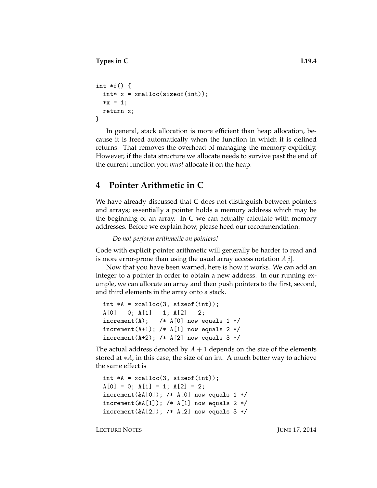```
int *f() {
 int* x = xmalloc(sizeof(int));
 *x = 1;
 return x;
}
```
In general, stack allocation is more efficient than heap allocation, because it is freed automatically when the function in which it is defined returns. That removes the overhead of managing the memory explicitly. However, if the data structure we allocate needs to survive past the end of the current function you *must* allocate it on the heap.

### **4 Pointer Arithmetic in C**

We have already discussed that C does not distinguish between pointers and arrays; essentially a pointer holds a memory address which may be the beginning of an array. In C we can actually calculate with memory addresses. Before we explain how, please heed our recommendation:

*Do not perform arithmetic on pointers!*

Code with explicit pointer arithmetic will generally be harder to read and is more error-prone than using the usual array access notation  $A[i]$ .

Now that you have been warned, here is how it works. We can add an integer to a pointer in order to obtain a new address. In our running example, we can allocate an array and then push pointers to the first, second, and third elements in the array onto a stack.

```
int *A = xcalloc(3, sizeof(int));A[0] = 0; A[1] = 1; A[2] = 2;\text{increment}(A); /* A[0] now equals 1 */
increment(A+1); /* A[1] now equals 2 */
increment(A+2); /* A[2] now equals 3 */
```
The actual address denoted by  $A + 1$  depends on the size of the elements stored at ∗A, in this case, the size of an int. A much better way to achieve the same effect is

```
int *A = xcalloc(3, sizeof(int));A[0] = 0; A[1] = 1; A[2] = 2;increment(\&A[0]); /* A[0] now equals 1 */
increment(&A[1]); /* A[1] now equals 2 */
increment(\&A[2]); /* A[2] now equals 3 */
```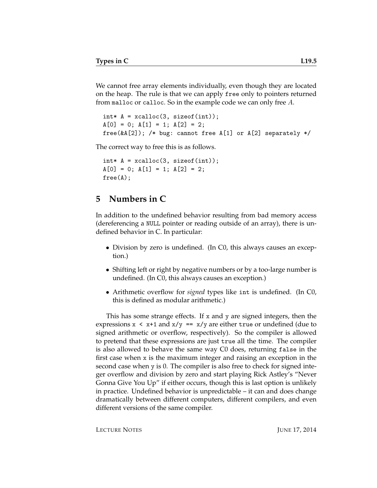We cannot free array elements individually, even though they are located on the heap. The rule is that we can apply free only to pointers returned from malloc or calloc. So in the example code we can only free A.

```
int* A = xcalloc(3, sizeof(int));A[0] = 0; A[1] = 1; A[2] = 2;free(\&A[2]); /* bug: cannot free A[1] or A[2] separately */
```
The correct way to free this is as follows.

 $int* A = xcalloc(3, sizeof(int));$  $A[0] = 0; A[1] = 1; A[2] = 2;$ free(A);

#### **5 Numbers in C**

In addition to the undefined behavior resulting from bad memory access (dereferencing a NULL pointer or reading outside of an array), there is undefined behavior in C. In particular:

- Division by zero is undefined. (In C0, this always causes an exception.)
- Shifting left or right by negative numbers or by a too-large number is undefined. (In C0, this always causes an exception.)
- Arithmetic overflow for *signed* types like int is undefined. (In C0, this is defined as modular arithmetic.)

This has some strange effects. If x and y are signed integers, then the expressions  $x \leq x+1$  and  $x/y == x/y$  are either true or undefined (due to signed arithmetic or overflow, respectively). So the compiler is allowed to pretend that these expressions are just true all the time. The compiler is also allowed to behave the same way C0 does, returning false in the first case when x is the maximum integer and raising an exception in the second case when y is 0. The compiler is also free to check for signed integer overflow and division by zero and start playing Rick Astley's "Never Gonna Give You Up" if either occurs, though this is last option is unlikely in practice. Undefined behavior is unpredictable – it can and does change dramatically between different computers, different compilers, and even different versions of the same compiler.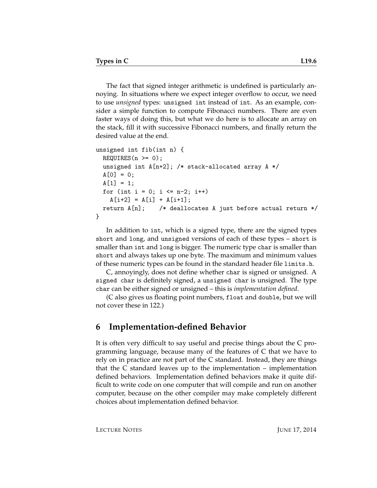The fact that signed integer arithmetic is undefined is particularly annoying. In situations where we expect integer overflow to occur, we need to use *unsigned* types: unsigned int instead of int. As an example, consider a simple function to compute Fibonacci numbers. There are even faster ways of doing this, but what we do here is to allocate an array on the stack, fill it with successive Fibonacci numbers, and finally return the desired value at the end.

```
unsigned int fib(int n) {
 REQUIRES(n \ge 0);
 unsigned int A[n+2]; /* stack-allocated array A */
 A[0] = 0;A[1] = 1;for (int i = 0; i \leq n-2; i++)A[i+2] = A[i] + A[i+1];return A[n]; /* deallocates A just before actual return */
}
```
In addition to int, which is a signed type, there are the signed types short and long, and unsigned versions of each of these types – short is smaller than int and long is bigger. The numeric type char is smaller than short and always takes up one byte. The maximum and minimum values of these numeric types can be found in the standard header file limits.h.

C, annoyingly, does not define whether char is signed or unsigned. A signed char is definitely signed, a unsigned char is unsigned. The type char can be either signed or unsigned – this is *implementation defined*.

(C also gives us floating point numbers, float and double, but we will not cover these in 122.)

## **6 Implementation-defined Behavior**

It is often very difficult to say useful and precise things about the C programming language, because many of the features of C that we have to rely on in practice are not part of the C standard. Instead, they are things that the C standard leaves up to the implementation – implementation defined behaviors. Implementation defined behaviors make it quite difficult to write code on one computer that will compile and run on another computer, because on the other compiler may make completely different choices about implementation defined behavior.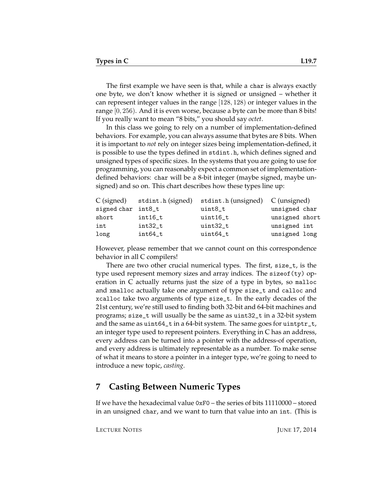The first example we have seen is that, while a char is always exactly one byte, we don't know whether it is signed or unsigned – whether it can represent integer values in the range [128, 128) or integer values in the range [0, 256). And it is even worse, because a byte can be more than 8 bits! If you really want to mean "8 bits," you should say *octet*.

In this class we going to rely on a number of implementation-defined behaviors. For example, you can always assume that bytes are 8 bits. When it is important to *not* rely on integer sizes being implementation-defined, it is possible to use the types defined in stdint.h, which defines signed and unsigned types of specific sizes. In the systems that you are going to use for programming, you can reasonably expect a common set of implementationdefined behaviors: char will be a 8-bit integer (maybe signed, maybe unsigned) and so on. This chart describes how these types line up:

| $C$ (signed)       | stdint.h (signed) | stdint.h (unsigned) C (unsigned) |                |
|--------------------|-------------------|----------------------------------|----------------|
| signed char int8_t |                   | uint8_t                          | unsigned char  |
| short              | $int16_t$         | uint16_t                         | unsigned short |
| int                | $int32_t$         | uint32_t                         | unsigned int   |
| long               | $int64_t$         | uint64_t                         | unsigned long  |

However, please remember that we cannot count on this correspondence behavior in all C compilers!

There are two other crucial numerical types. The first, size\_t, is the type used represent memory sizes and array indices. The sizeof(ty) operation in C actually returns just the size of a type in bytes, so malloc and xmalloc actually take one argument of type size\_t and calloc and xcalloc take two arguments of type size\_t. In the early decades of the 21st century, we're still used to finding both 32-bit and 64-bit machines and programs; size\_t will usually be the same as uint32\_t in a 32-bit system and the same as uint64\_t in a 64-bit system. The same goes for uintptr\_t, an integer type used to represent pointers. Everything in C has an address, every address can be turned into a pointer with the address-of operation, and every address is ultimately representable as a number. To make sense of what it means to store a pointer in a integer type, we're going to need to introduce a new topic, *casting*.

#### **7 Casting Between Numeric Types**

If we have the hexadecimal value 0xF0 – the series of bits 11110000 – stored in an unsigned char, and we want to turn that value into an int. (This is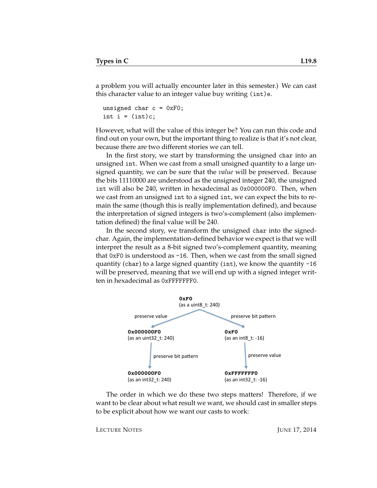a problem you will actually encounter later in this semester.) We can cast this character value to an integer value buy writing (int)e.

```
unsigned char c = 0xF0;
int i = (int)c;
```
However, what will the value of this integer be? You can run this code and find out on your own, but the important thing to realize is that it's not clear, because there are two different stories we can tell.

In the first story, we start by transforming the unsigned char into an unsigned int. When we cast from a small unsigned quantity to a large unsigned quantity, we can be sure that the *value* will be preserved. Because the bits 11110000 are understood as the unsigned integer 240, the unsigned int will also be 240, written in hexadecimal as 0x000000F0. Then, when we cast from an unsigned int to a signed int, we can expect the bits to remain the same (though this is really implementation defined), and because the interpretation of signed integers is two's-complement (also implementation defined) the final value will be 240.

In the second story, we transform the unsigned char into the signedchar. Again, the implementation-defined behavior we expect is that we will interpret the result as a 8-bit signed two's-complement quantity, meaning that 0xF0 is understood as  $-16$ . Then, when we cast from the small signed quantity (char) to a large signed quantity (int), we know the quantity -16 will be preserved, meaning that we will end up with a signed integer written in hexadecimal as 0xFFFFFFF0.



The order in which we do these two steps matters! Therefore, if we want to be clear about what result we want, we should cast in smaller steps to be explicit about how we want our casts to work: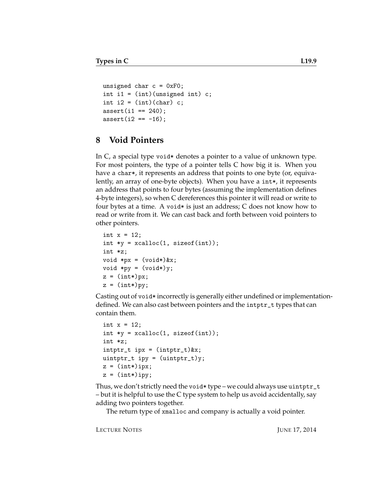```
unsigned char c = 0xF0;
int i1 = (int)(usingned int) c;int i2 = (int)(char) c;
assert(i1 == 240);assert(i2 == -16);
```
### **8 Void Pointers**

In  $C$ , a special type void  $*$  denotes a pointer to a value of unknown type. For most pointers, the type of a pointer tells C how big it is. When you have a char\*, it represents an address that points to one byte (or, equivalently, an array of one-byte objects). When you have a int\*, it represents an address that points to four bytes (assuming the implementation defines 4-byte integers), so when C dereferences this pointer it will read or write to four bytes at a time. A void\* is just an address; C does not know how to read or write from it. We can cast back and forth between void pointers to other pointers.

```
int x = 12;
int *y = xcalloc(1, sizeof(int));int *z;
void *px = (void*)&x;void *py = (void*)y;z = (int*)px;z = (int*)py;
```
Casting out of void\* incorrectly is generally either undefined or implementationdefined. We can also cast between pointers and the intptr\_t types that can contain them.

```
int x = 12;
int *y = xcalloc(1, sizeof(int));int *z;
intptr_t ipx = (intptr_t)&x;
uintptr_t ipy = (uintptr_t)y;
z = (int*)ipx;
z = (int*)ipy;
```
Thus, we don't strictly need the void\* type – we could always use uintptr\_t – but it is helpful to use the C type system to help us avoid accidentally, say adding two pointers together.

The return type of xmalloc and company is actually a void pointer.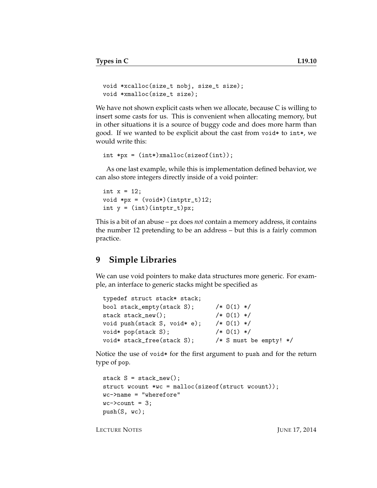```
void *xcalloc(size_t nobj, size_t size);
void *xmalloc(size_t size);
```
We have not shown explicit casts when we allocate, because C is willing to insert some casts for us. This is convenient when allocating memory, but in other situations it is a source of buggy code and does more harm than good. If we wanted to be explicit about the cast from void\* to int\*, we would write this:

```
int *px = (int*)xmalloc(sizeof(int));
```
As one last example, while this is implementation defined behavior, we can also store integers directly inside of a void pointer:

```
int x = 12;
void *px = (void*) (intptr_t)12;int y = (int)(intptr_t)px;
```
This is a bit of an abuse – px does *not* contain a memory address, it contains the number 12 pretending to be an address – but this is a fairly common practice.

#### **9 Simple Libraries**

We can use void pointers to make data structures more generic. For example, an interface to generic stacks might be specified as

```
typedef struct stack* stack;
bool stack_empty(stack S); /* 0(1) */
stack stack_new(); /* 0(1) */void push(stack S, void* e); /* 0(1) */
void* pop(stack S); /* O(1) */
void* stack_free(stack S); /* S must be empty! */
```
Notice the use of void\* for the first argument to push and for the return type of pop.

```
stack S = stack_new();
struct wcount *wc = malloc(sizeof(struct wcount));
wc->name = "wherefore"
wc->count = 3;push(S, wc);
```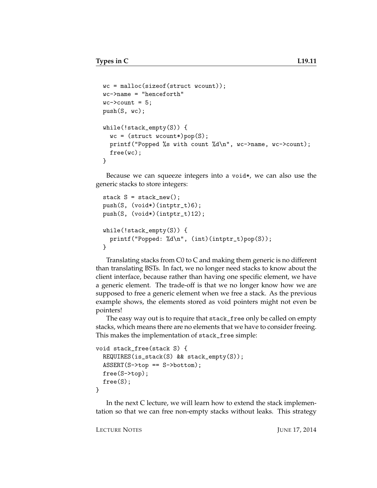```
wc = malloc(sizeof(struct wcount));wc->name = "henceforth"
wc->count = 5;push(S, wc);
while(!stack_empty(S)) {
 wc = (struct wcount*)pop(S);printf("Popped %s with count %d\n", wc->name, wc->count);
 free(wc);
}
```
Because we can squeeze integers into a void\*, we can also use the generic stacks to store integers:

```
stack S = stack_new();
push(S, (void*)(intptr_t)6);
push(S, (void*)(intptr_t)12);
while(!stack_empty(S)) {
  printf("Popped: %d\n", (int)(intptr_t)pop(S));
}
```
Translating stacks from C0 to C and making them generic is no different than translating BSTs. In fact, we no longer need stacks to know about the client interface, because rather than having one specific element, we have a generic element. The trade-off is that we no longer know how we are supposed to free a generic element when we free a stack. As the previous example shows, the elements stored as void pointers might not even be pointers!

The easy way out is to require that stack\_free only be called on empty stacks, which means there are no elements that we have to consider freeing. This makes the implementation of stack\_free simple:

```
void stack_free(stack S) {
 REQUIRES(is_stack(S) && stack_empty(S));
  ASSERT(S->top == S->bottom);free(S->top);
  free(S);
}
```
In the next C lecture, we will learn how to extend the stack implementation so that we can free non-empty stacks without leaks. This strategy